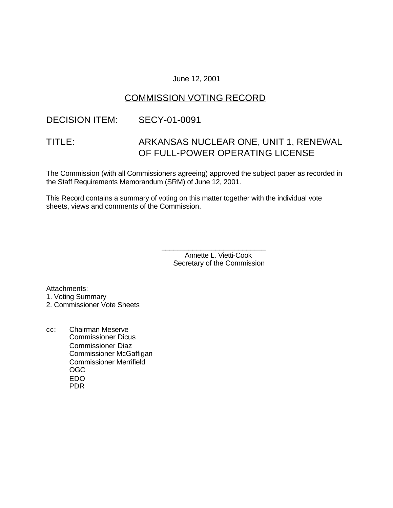## June 12, 2001

# COMMISSION VOTING RECORD

## DECISION ITEM: SECY-01-0091

# TITLE: ARKANSAS NUCLEAR ONE, UNIT 1, RENEWAL OF FULL-POWER OPERATING LICENSE

The Commission (with all Commissioners agreeing) approved the subject paper as recorded in the Staff Requirements Memorandum (SRM) of June 12, 2001.

This Record contains a summary of voting on this matter together with the individual vote sheets, views and comments of the Commission.

> Annette L. Vietti-Cook Secretary of the Commission

\_\_\_\_\_\_\_\_\_\_\_\_\_\_\_\_\_\_\_\_\_\_\_\_\_\_\_

Attachments: 1. Voting Summary

2. Commissioner Vote Sheets

cc: Chairman Meserve Commissioner Dicus Commissioner Diaz Commissioner McGaffigan Commissioner Merrifield OGC EDO PDR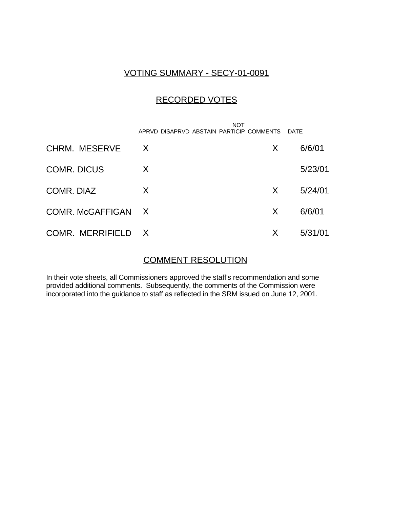# VOTING SUMMARY - SECY-01-0091

# RECORDED VOTES

|                    | <b>NOT</b><br>APRVD DISAPRVD ABSTAIN PARTICIP COMMENTS |   | DATE    |
|--------------------|--------------------------------------------------------|---|---------|
| CHRM. MESERVE      | X                                                      | X | 6/6/01  |
| <b>COMR. DICUS</b> | X                                                      |   | 5/23/01 |
| COMR. DIAZ         | X                                                      | X | 5/24/01 |
| COMR. McGAFFIGAN X |                                                        | X | 6/6/01  |
| COMR. MERRIFIELD X |                                                        | X | 5/31/01 |

# COMMENT RESOLUTION

In their vote sheets, all Commissioners approved the staff's recommendation and some provided additional comments. Subsequently, the comments of the Commission were incorporated into the guidance to staff as reflected in the SRM issued on June 12, 2001.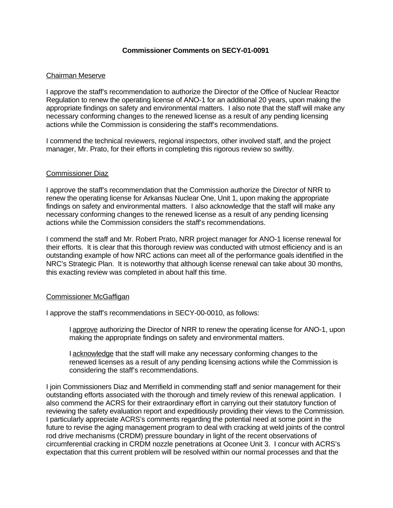### **Commissioner Comments on SECY-01-0091**

## Chairman Meserve

I approve the staff's recommendation to authorize the Director of the Office of Nuclear Reactor Regulation to renew the operating license of ANO-1 for an additional 20 years, upon making the appropriate findings on safety and environmental matters. I also note that the staff will make any necessary conforming changes to the renewed license as a result of any pending licensing actions while the Commission is considering the staff's recommendations.

I commend the technical reviewers, regional inspectors, other involved staff, and the project manager, Mr. Prato, for their efforts in completing this rigorous review so swiftly.

#### Commissioner Diaz

I approve the staff's recommendation that the Commission authorize the Director of NRR to renew the operating license for Arkansas Nuclear One, Unit 1, upon making the appropriate findings on safety and environmental matters. I also acknowledge that the staff will make any necessary conforming changes to the renewed license as a result of any pending licensing actions while the Commission considers the staff's recommendations.

I commend the staff and Mr. Robert Prato, NRR project manager for ANO-1 license renewal for their efforts. It is clear that this thorough review was conducted with utmost efficiency and is an outstanding example of how NRC actions can meet all of the performance goals identified in the NRC's Strategic Plan. It is noteworthy that although license renewal can take about 30 months, this exacting review was completed in about half this time.

#### Commissioner McGaffigan

I approve the staff's recommendations in SECY-00-0010, as follows:

I approve authorizing the Director of NRR to renew the operating license for ANO-1, upon making the appropriate findings on safety and environmental matters.

I acknowledge that the staff will make any necessary conforming changes to the renewed licenses as a result of any pending licensing actions while the Commission is considering the staff's recommendations.

I join Commissioners Diaz and Merrifield in commending staff and senior management for their outstanding efforts associated with the thorough and timely review of this renewal application. I also commend the ACRS for their extraordinary effort in carrying out their statutory function of reviewing the safety evaluation report and expeditiously providing their views to the Commission. I particularly appreciate ACRS's comments regarding the potential need at some point in the future to revise the aging management program to deal with cracking at weld joints of the control rod drive mechanisms (CRDM) pressure boundary in light of the recent observations of circumferential cracking in CRDM nozzle penetrations at Oconee Unit 3. I concur with ACRS's expectation that this current problem will be resolved within our normal processes and that the